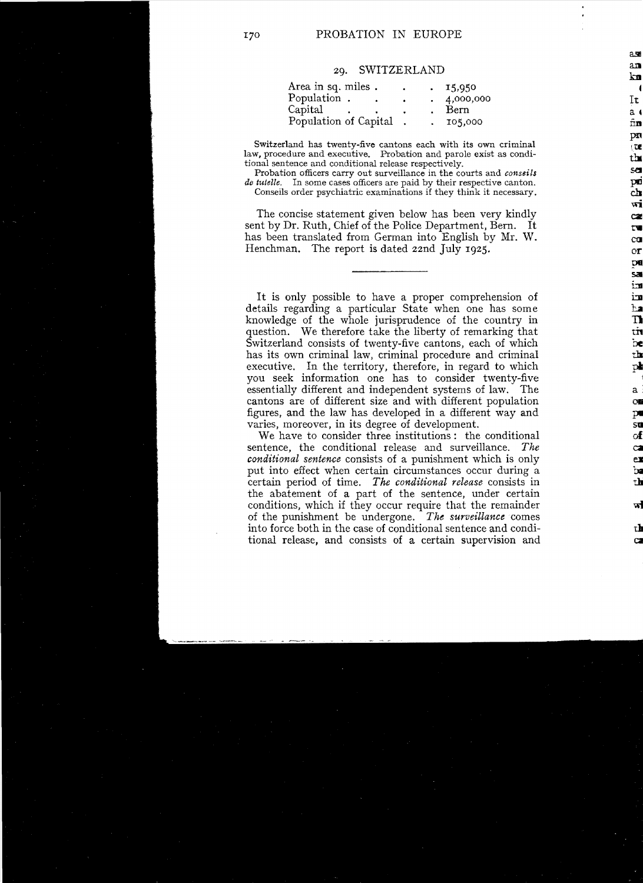## 20. SWITZERLAND

| Area in sq. miles.    | $\bullet$ | .15,950   |
|-----------------------|-----------|-----------|
| Population.           |           | 4,000,000 |
| Capital               |           | Bern      |
| Population of Capital |           | 105,000   |

Switzerland has twenty-five cantons each with its own criminal law, procedure and executive. Probation and parole exist as conditional sentence and conditional release respectively.

Probation officers carry out surveillance in the courts and conseils de tutelle. In some cases officers are paid by their respective canton. Conseils order psychiatric examinations if they think it necessary.

The concise statement given below has been very kindly sent by Dr. Ruth, Chief of the Police Department, Bern. It has been translated from German into English by Mr. W. Henchman. The report is dated 22nd July 1925.

It is only possible to have a proper comprehension of details regarding a particular State when one has some knowledge of the whole jurisprudence of the country in question. We therefore take the liberty of remarking that Switzerland consists of twenty-five cantons, each of which has its own criminal law, criminal procedure and criminal executive. In the territory, therefore, in regard to which you seek information one has to consider twenty-five essentially different and independent systems of law. The cantons are of different size and with different population figures, and the law has developed in a different way and varies, moreover, in its degree of development.

We have to consider three institutions: the conditional sentence, the conditional release and surveillance. The conditional sentence consists of a punishment which is only put into effect when certain circumstances occur during a certain period of time. The conditional release consists in the abatement of a part of the sentence, under certain conditions, which if they occur require that the remainder of the punishment be undergone. The surveillance comes into force both in the case of conditional sentence and conditional release, and consists of a certain supervision and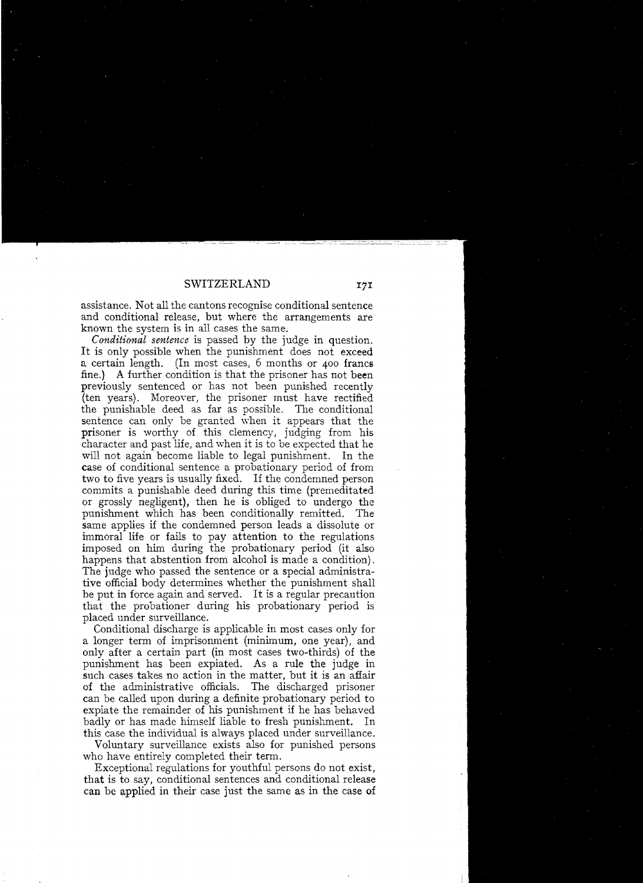assistance. Not all the cantons recognise conditional sentence and conditional release, but where the arrangements are known the system is in all cases the same.

*Conditional sentence* is passed by the judge in question. It is only possible when the punishment does not exceed a certain length. (In most cases, 6 months or 400 francs fine.) A further condition is that the prisoner has not been previously sentenced or has not been punished recently (ten years). Moreoyer, the prisoner must have rectified the punishable as far as possible. The conditional sentence can only be granted when it appears that the prisoner is worthy of this clemency, judging from his character and past life, and when it is to be expected that he will not again become liable to legal punishment. In the case of conditional sentence a probationary period of from two to five years is usually fixed. If the condemned person commits a punishable deed during this time (premeditated or grossly negligent), then he is obliged to undergo the punishment which has been conditionally remitted. The same applies if the condemned person leads a dissolute or immoral life or fails to pay attention to the regulations imposed on him during the probationary period (it also happens that abstention from alcohol is made a condition). The judge who passed the sentence or a special administrative official body determines whether the punishment shall be put in force again and served. It is a regular precaution that the probationer during his probationary period is placed under surveillance.

Conditional discharge is applicabie in most cases only tor a longer term of imprisonment (minimum, one year), and only after a certain part (in most cases two-thirds) of the punishment has been expiated. As a mie the judge in such cases takes no action in the matter, but it is an affair of the administrative officials. The discharged prisoner can be called upon during a definite probationary period to expiate the remainder of his punishment if he has behaved badly or has made himself liable to fresh punishment. In this case the individual is always placed under surveillance.

Voluntary surveillance exists also tor punished persons who have entirely completed their term.

Exceptional regulations for youthtul persons do not exist, that is to say, conditional sentences and conditional release can be applied in their case just the same as in the case **of**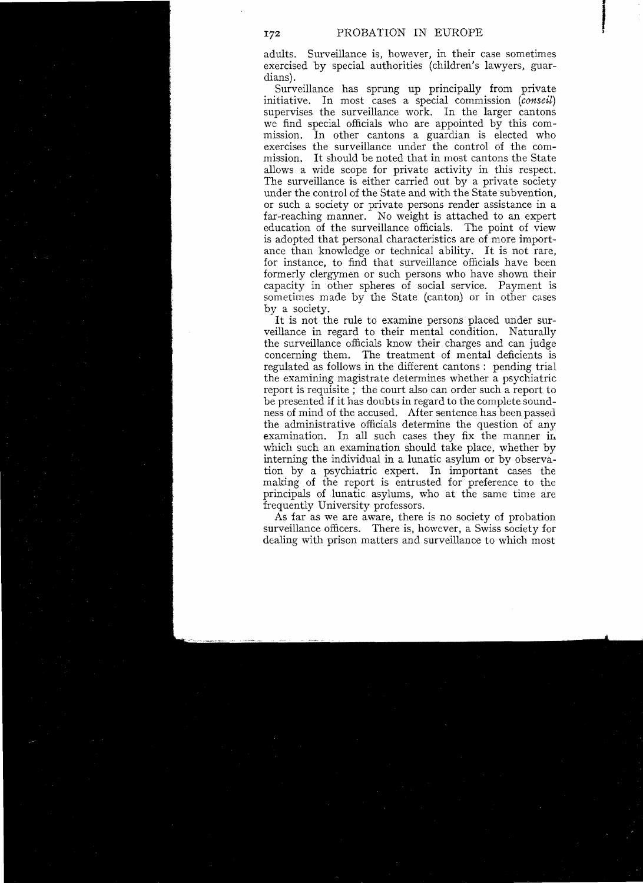adults. Surveillance is, however, in their case sometimes exercised by special authorities (children's lawyers, guardians).

Surveillance has sprung up principally from private initiative. In most cases a special commission *(conseil)*  supervises the surveillance work. In the larger cantons we find special officials who are appointed by this commission. In other cantons a guardian is elected who exercises the surveillance under the control of the commission. It should be noted that in most cantons the State allows a wide scope for private activity in this respect. The surveillance is either carried out by a private society under the control of the State and with the State subvention, or such a society or private persons render assistance in a far-reaching manner. No weight is attached to an expert education of the surveillance officials. The point of view is adopted that personal characteristies are of more importance than knowledge or technical ability. It is not rare, for instance, to find that surveillance officials have been formerly clergymen or such persons who have shown their capacity in other spheres of social service. Payment is sometimes made by the State (canton) or in other cases by a society.

It is not the rule to examine persons placed under surveillance in regard to their mental condition. Naturally the surveillance officials know their charges and can judge concerning them. The treatment of mental deficients is regulated as follows in the different cantons : pending trial the examining magistrate determines whether a psychiatric report is requisite; the court also can order such a report to be presented if it has doubts in regard to the complete soundness of mind of the accused. After sentence has been passed the administrative officials determine the question of any examination. In all such cases they fix the manner ir. whieh such an examination should take place, whether by interning the individual in a lunatie asylum or by observation by a psychiatrie expert. In important cases the making of the report is entrusted for preference to the principals of lunatie asylums, who at the same time are frequently University professors.

As far as we are aware, there is no society of probation surveillance officers. There is, however, a Swiss society for dealing with prison matters and surveillance to which most